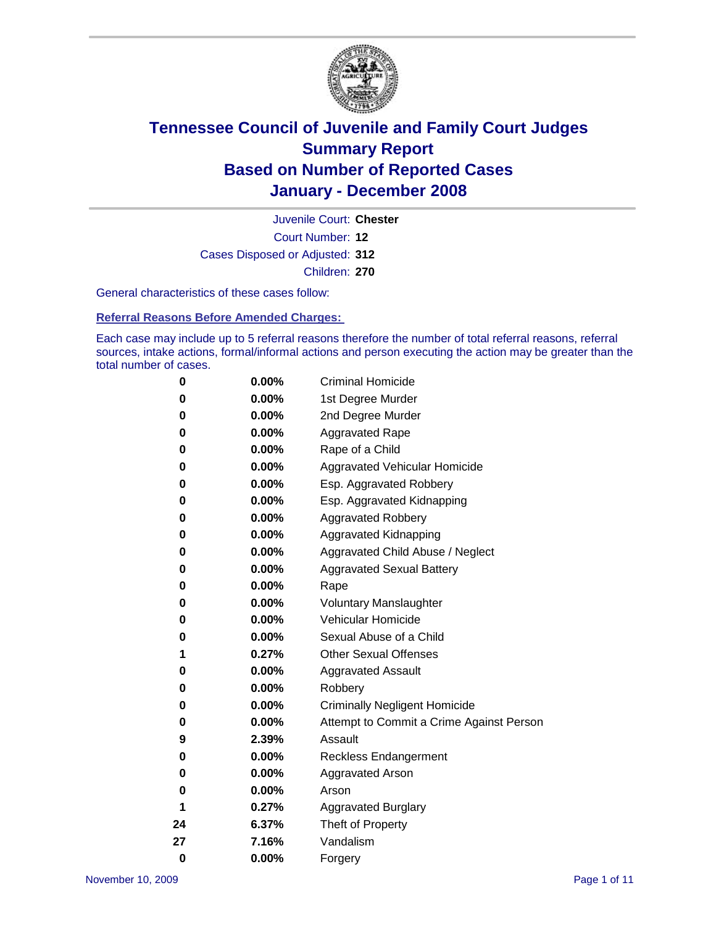

Court Number: **12** Juvenile Court: **Chester** Cases Disposed or Adjusted: **312** Children: **270**

General characteristics of these cases follow:

**Referral Reasons Before Amended Charges:** 

Each case may include up to 5 referral reasons therefore the number of total referral reasons, referral sources, intake actions, formal/informal actions and person executing the action may be greater than the total number of cases.

| 0        | 0.00%    | <b>Criminal Homicide</b>                 |
|----------|----------|------------------------------------------|
| 0        | 0.00%    | 1st Degree Murder                        |
| 0        | $0.00\%$ | 2nd Degree Murder                        |
| 0        | 0.00%    | <b>Aggravated Rape</b>                   |
| 0        | 0.00%    | Rape of a Child                          |
| 0        | 0.00%    | Aggravated Vehicular Homicide            |
| 0        | 0.00%    | Esp. Aggravated Robbery                  |
| 0        | 0.00%    | Esp. Aggravated Kidnapping               |
| 0        | 0.00%    | <b>Aggravated Robbery</b>                |
| 0        | $0.00\%$ | Aggravated Kidnapping                    |
| 0        | 0.00%    | Aggravated Child Abuse / Neglect         |
| 0        | $0.00\%$ | <b>Aggravated Sexual Battery</b>         |
| 0        | 0.00%    | Rape                                     |
| 0        | 0.00%    | <b>Voluntary Manslaughter</b>            |
| 0        | 0.00%    | Vehicular Homicide                       |
| 0        | 0.00%    | Sexual Abuse of a Child                  |
| 1        | 0.27%    | <b>Other Sexual Offenses</b>             |
| 0        | 0.00%    | <b>Aggravated Assault</b>                |
| 0        | $0.00\%$ | Robbery                                  |
| 0        | 0.00%    | <b>Criminally Negligent Homicide</b>     |
| 0        | 0.00%    | Attempt to Commit a Crime Against Person |
| 9        | 2.39%    | Assault                                  |
| 0        | 0.00%    | <b>Reckless Endangerment</b>             |
| 0        | 0.00%    | <b>Aggravated Arson</b>                  |
| 0        | 0.00%    | Arson                                    |
| 1        | 0.27%    | <b>Aggravated Burglary</b>               |
| 24       | 6.37%    | Theft of Property                        |
| 27       | 7.16%    | Vandalism                                |
| $\bf{0}$ | 0.00%    | Forgery                                  |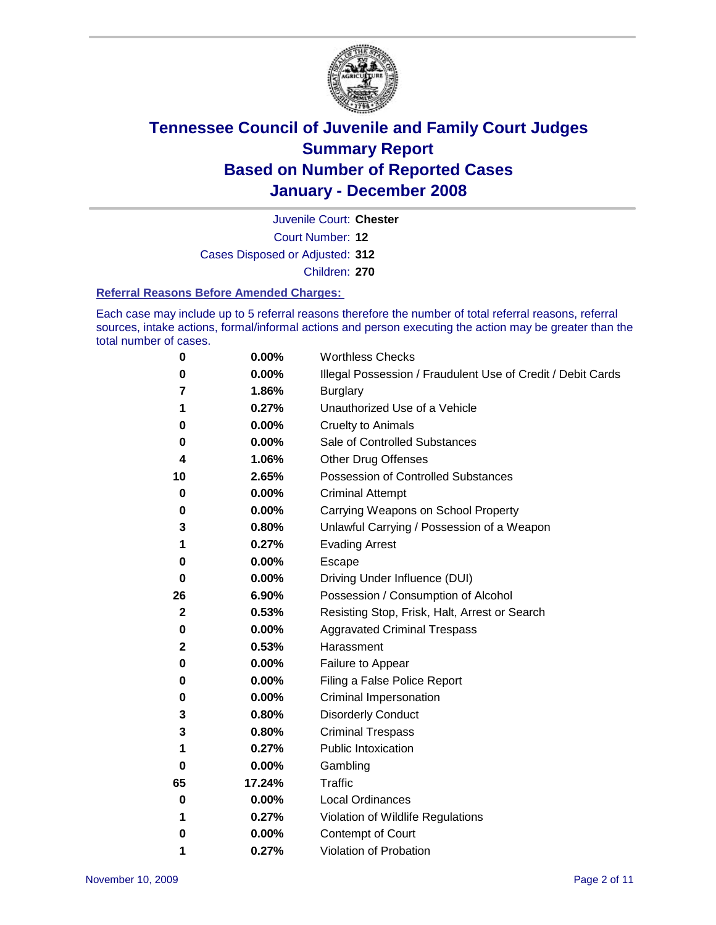

Court Number: **12** Juvenile Court: **Chester** Cases Disposed or Adjusted: **312** Children: **270**

#### **Referral Reasons Before Amended Charges:**

Each case may include up to 5 referral reasons therefore the number of total referral reasons, referral sources, intake actions, formal/informal actions and person executing the action may be greater than the total number of cases.

| 0           | 0.00%    | <b>Worthless Checks</b>                                     |
|-------------|----------|-------------------------------------------------------------|
| 0           | 0.00%    | Illegal Possession / Fraudulent Use of Credit / Debit Cards |
| 7           | 1.86%    | <b>Burglary</b>                                             |
| 1           | 0.27%    | Unauthorized Use of a Vehicle                               |
| 0           | 0.00%    | <b>Cruelty to Animals</b>                                   |
| 0           | $0.00\%$ | Sale of Controlled Substances                               |
| 4           | 1.06%    | <b>Other Drug Offenses</b>                                  |
| 10          | 2.65%    | <b>Possession of Controlled Substances</b>                  |
| 0           | 0.00%    | <b>Criminal Attempt</b>                                     |
| 0           | 0.00%    | Carrying Weapons on School Property                         |
| 3           | 0.80%    | Unlawful Carrying / Possession of a Weapon                  |
| 1           | 0.27%    | <b>Evading Arrest</b>                                       |
| 0           | 0.00%    | Escape                                                      |
| 0           | 0.00%    | Driving Under Influence (DUI)                               |
| 26          | 6.90%    | Possession / Consumption of Alcohol                         |
| $\mathbf 2$ | 0.53%    | Resisting Stop, Frisk, Halt, Arrest or Search               |
| 0           | 0.00%    | <b>Aggravated Criminal Trespass</b>                         |
| 2           | 0.53%    | Harassment                                                  |
| 0           | 0.00%    | Failure to Appear                                           |
| 0           | 0.00%    | Filing a False Police Report                                |
| 0           | 0.00%    | Criminal Impersonation                                      |
| 3           | 0.80%    | <b>Disorderly Conduct</b>                                   |
| 3           | 0.80%    | <b>Criminal Trespass</b>                                    |
| 1           | 0.27%    | <b>Public Intoxication</b>                                  |
| 0           | 0.00%    | Gambling                                                    |
| 65          | 17.24%   | <b>Traffic</b>                                              |
| 0           | 0.00%    | <b>Local Ordinances</b>                                     |
| 1           | 0.27%    | Violation of Wildlife Regulations                           |
| 0           | $0.00\%$ | Contempt of Court                                           |
| 1           | 0.27%    | Violation of Probation                                      |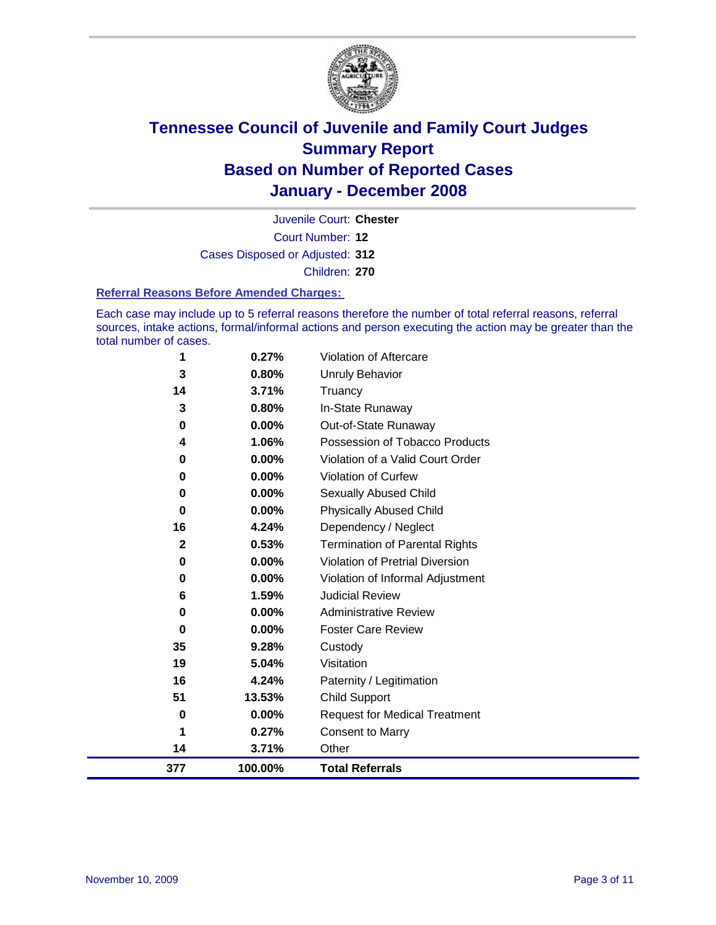

Court Number: **12** Juvenile Court: **Chester** Cases Disposed or Adjusted: **312** Children: **270**

#### **Referral Reasons Before Amended Charges:**

Each case may include up to 5 referral reasons therefore the number of total referral reasons, referral sources, intake actions, formal/informal actions and person executing the action may be greater than the total number of cases.

| 377          | 100.00% | <b>Total Referrals</b>                 |
|--------------|---------|----------------------------------------|
| 14           | 3.71%   | Other                                  |
|              | 0.27%   | <b>Consent to Marry</b>                |
| 0            | 0.00%   | <b>Request for Medical Treatment</b>   |
| 51           | 13.53%  | Child Support                          |
| 16           | 4.24%   | Paternity / Legitimation               |
| 19           | 5.04%   | Visitation                             |
| 35           | 9.28%   | Custody                                |
| 0            | 0.00%   | <b>Foster Care Review</b>              |
| 0            | 0.00%   | <b>Administrative Review</b>           |
| 6            | 1.59%   | <b>Judicial Review</b>                 |
| 0            | 0.00%   | Violation of Informal Adjustment       |
| 0            | 0.00%   | <b>Violation of Pretrial Diversion</b> |
| $\mathbf{2}$ | 0.53%   | <b>Termination of Parental Rights</b>  |
| 16           | 4.24%   | Dependency / Neglect                   |
| $\bf{0}$     | 0.00%   | <b>Physically Abused Child</b>         |
| 0            | 0.00%   | <b>Sexually Abused Child</b>           |
| $\bf{0}$     | 0.00%   | <b>Violation of Curfew</b>             |
| 0            | 0.00%   | Violation of a Valid Court Order       |
| 4            | 1.06%   | Possession of Tobacco Products         |
| 0            | 0.00%   | Out-of-State Runaway                   |
| 3            | 0.80%   | In-State Runaway                       |
| 14           | 3.71%   | Truancy                                |
| 3            | 0.80%   | <b>Unruly Behavior</b>                 |
| 1            | 0.27%   | Violation of Aftercare                 |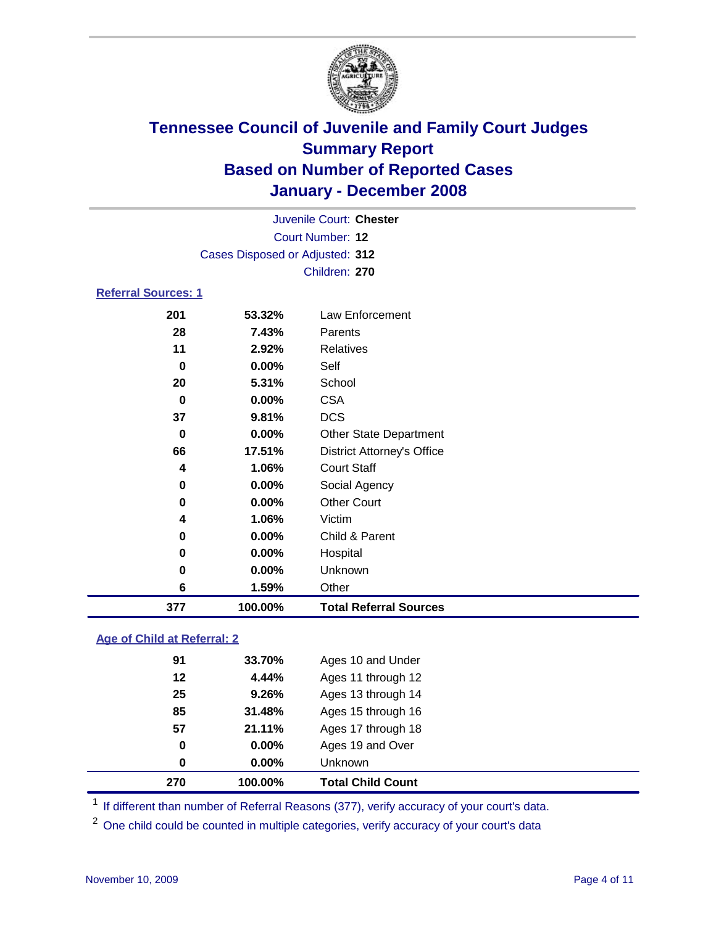

|                                 |          | Juvenile Court: Chester           |  |  |  |  |
|---------------------------------|----------|-----------------------------------|--|--|--|--|
| Court Number: 12                |          |                                   |  |  |  |  |
| Cases Disposed or Adjusted: 312 |          |                                   |  |  |  |  |
|                                 |          | Children: 270                     |  |  |  |  |
| <b>Referral Sources: 1</b>      |          |                                   |  |  |  |  |
| 201                             | 53.32%   | Law Enforcement                   |  |  |  |  |
| 28                              | 7.43%    | Parents                           |  |  |  |  |
| 11                              | 2.92%    | <b>Relatives</b>                  |  |  |  |  |
| 0                               | $0.00\%$ | Self                              |  |  |  |  |
| 20                              | 5.31%    | School                            |  |  |  |  |
| 0                               | $0.00\%$ | <b>CSA</b>                        |  |  |  |  |
| 37                              | 9.81%    | <b>DCS</b>                        |  |  |  |  |
| 0                               | $0.00\%$ | <b>Other State Department</b>     |  |  |  |  |
| 66                              | 17.51%   | <b>District Attorney's Office</b> |  |  |  |  |

| 377 | 100.00% | <b>Total Referral Sources</b> |  |
|-----|---------|-------------------------------|--|
| 6   | 1.59%   | Other                         |  |
| 0   | 0.00%   | Unknown                       |  |
| 0   | 0.00%   | Hospital                      |  |
| 0   | 0.00%   | Child & Parent                |  |
| 4   | 1.06%   | Victim                        |  |
| 0   | 0.00%   | <b>Other Court</b>            |  |
| 0   | 0.00%   | Social Agency                 |  |
| 4   | 1.06%   | <b>Court Staff</b>            |  |
|     |         |                               |  |

### **Age of Child at Referral: 2**

| 270 | 100.00%  | <b>Total Child Count</b> |  |
|-----|----------|--------------------------|--|
| 0   | $0.00\%$ | Unknown                  |  |
| 0   | $0.00\%$ | Ages 19 and Over         |  |
| 57  | 21.11%   | Ages 17 through 18       |  |
| 85  | 31.48%   | Ages 15 through 16       |  |
| 25  | 9.26%    | Ages 13 through 14       |  |
| 12  | 4.44%    | Ages 11 through 12       |  |
| 91  | 33.70%   | Ages 10 and Under        |  |
|     |          |                          |  |

<sup>1</sup> If different than number of Referral Reasons (377), verify accuracy of your court's data.

<sup>2</sup> One child could be counted in multiple categories, verify accuracy of your court's data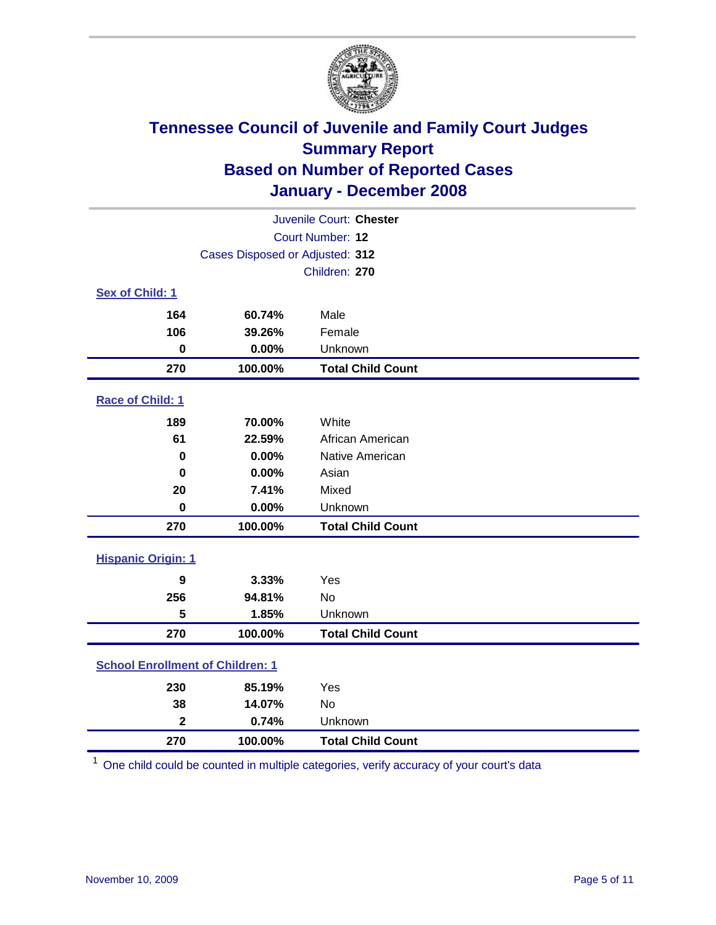

|                                         |         | Juvenile Court: Chester  |  |  |
|-----------------------------------------|---------|--------------------------|--|--|
| Court Number: 12                        |         |                          |  |  |
| Cases Disposed or Adjusted: 312         |         |                          |  |  |
|                                         |         | Children: 270            |  |  |
| Sex of Child: 1                         |         |                          |  |  |
| 164                                     | 60.74%  | Male                     |  |  |
| 106                                     | 39.26%  | Female                   |  |  |
| $\mathbf 0$                             | 0.00%   | Unknown                  |  |  |
| 270                                     | 100.00% | <b>Total Child Count</b> |  |  |
| Race of Child: 1                        |         |                          |  |  |
| 189                                     | 70.00%  | White                    |  |  |
| 61                                      | 22.59%  | African American         |  |  |
| $\bf{0}$                                | 0.00%   | Native American          |  |  |
| 0                                       | 0.00%   | Asian                    |  |  |
| 20                                      | 7.41%   | Mixed                    |  |  |
| $\mathbf 0$                             | 0.00%   | Unknown                  |  |  |
| 270                                     | 100.00% | <b>Total Child Count</b> |  |  |
| <b>Hispanic Origin: 1</b>               |         |                          |  |  |
| 9                                       | 3.33%   | Yes                      |  |  |
| 256                                     | 94.81%  | <b>No</b>                |  |  |
| 5                                       | 1.85%   | Unknown                  |  |  |
| 270                                     | 100.00% | <b>Total Child Count</b> |  |  |
| <b>School Enrollment of Children: 1</b> |         |                          |  |  |
| 230                                     | 85.19%  | Yes                      |  |  |
| 38                                      | 14.07%  | No                       |  |  |
| $\overline{\mathbf{2}}$                 | 0.74%   | Unknown                  |  |  |
| 270                                     | 100.00% | <b>Total Child Count</b> |  |  |

One child could be counted in multiple categories, verify accuracy of your court's data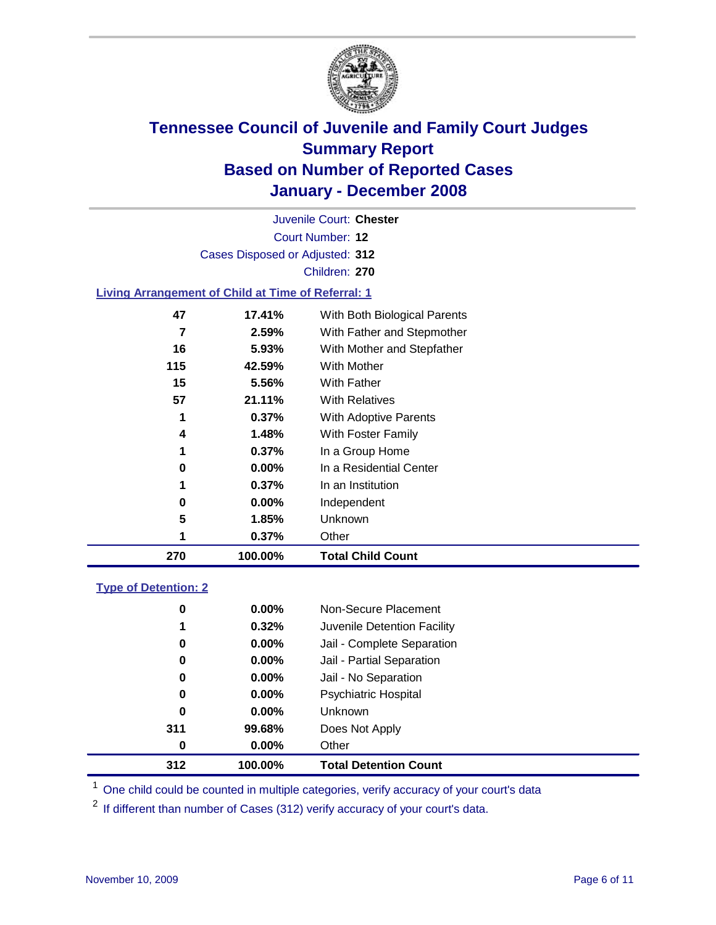

Court Number: **12** Juvenile Court: **Chester** Cases Disposed or Adjusted: **312** Children: **270 Living Arrangement of Child at Time of Referral: 1 17.41%** With Both Biological Parents **2.59%** With Father and Stepmother **5.93%** With Mother and Stepfather **42.59%** With Mother

| 270 | 100.00%  | <b>Total Child Count</b> |
|-----|----------|--------------------------|
| 1   | 0.37%    | Other                    |
| 5   | 1.85%    | Unknown                  |
| 0   | $0.00\%$ | Independent              |
| 1   | 0.37%    | In an Institution        |
| 0   | 0.00%    | In a Residential Center  |
| 1   | 0.37%    | In a Group Home          |
| 4   | 1.48%    | With Foster Family       |
| 1   | 0.37%    | With Adoptive Parents    |
| 57  | 21.11%   | <b>With Relatives</b>    |
| 15  | 5.56%    | <b>With Father</b>       |
| .   | 74.JJ 70 | <u>vviui ivivuivi</u>    |

### **Type of Detention: 2**

| 312 | 100.00%  | <b>Total Detention Count</b> |
|-----|----------|------------------------------|
| 0   | $0.00\%$ | Other                        |
| 311 | 99.68%   | Does Not Apply               |
| 0   | $0.00\%$ | <b>Unknown</b>               |
| 0   | 0.00%    | <b>Psychiatric Hospital</b>  |
| 0   | $0.00\%$ | Jail - No Separation         |
| 0   | $0.00\%$ | Jail - Partial Separation    |
| 0   | $0.00\%$ | Jail - Complete Separation   |
| 1   | 0.32%    | Juvenile Detention Facility  |
| 0   | $0.00\%$ | Non-Secure Placement         |
|     |          |                              |

<sup>1</sup> One child could be counted in multiple categories, verify accuracy of your court's data

<sup>2</sup> If different than number of Cases (312) verify accuracy of your court's data.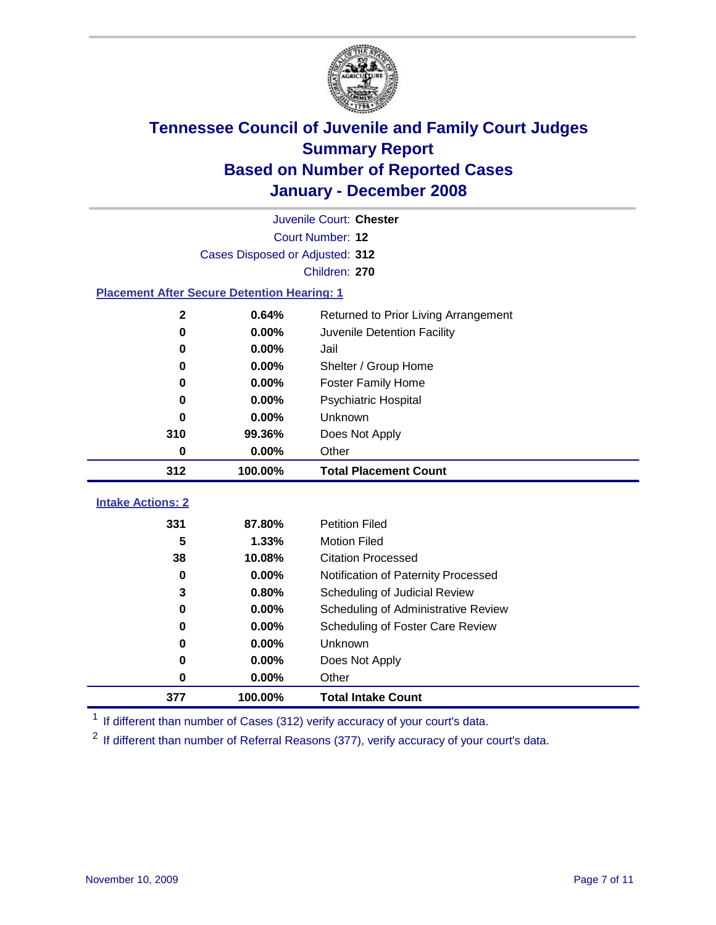

| Juvenile Court: Chester                            |                                 |                                             |  |  |  |
|----------------------------------------------------|---------------------------------|---------------------------------------------|--|--|--|
| Court Number: 12                                   |                                 |                                             |  |  |  |
|                                                    | Cases Disposed or Adjusted: 312 |                                             |  |  |  |
| Children: 270                                      |                                 |                                             |  |  |  |
| <b>Placement After Secure Detention Hearing: 1</b> |                                 |                                             |  |  |  |
| 2                                                  | 0.64%                           | Returned to Prior Living Arrangement        |  |  |  |
| $\bf{0}$                                           | 0.00%                           | Juvenile Detention Facility                 |  |  |  |
| $\bf{0}$                                           | 0.00%                           | Jail                                        |  |  |  |
| 0                                                  | 0.00%                           | Shelter / Group Home                        |  |  |  |
| $\bf{0}$                                           | 0.00%                           | <b>Foster Family Home</b>                   |  |  |  |
| 0                                                  | 0.00%                           | Psychiatric Hospital                        |  |  |  |
| 0                                                  | 0.00%                           | Unknown                                     |  |  |  |
| 310                                                | 99.36%                          | Does Not Apply                              |  |  |  |
| 0                                                  | 0.00%                           | Other                                       |  |  |  |
| 312                                                | 100.00%                         | <b>Total Placement Count</b>                |  |  |  |
| <b>Intake Actions: 2</b>                           |                                 |                                             |  |  |  |
| 331                                                | 87.80%                          | <b>Petition Filed</b>                       |  |  |  |
| 5                                                  | 1.33%                           | <b>Motion Filed</b>                         |  |  |  |
| 38                                                 | 10.08%                          | <b>Citation Processed</b>                   |  |  |  |
| 0                                                  | 0.00%                           | Notification of Paternity Processed         |  |  |  |
| 3                                                  | 0.80%                           | Scheduling of Judicial Review               |  |  |  |
| $\bf{0}$                                           | 0.00%                           |                                             |  |  |  |
|                                                    |                                 | Scheduling of Administrative Review         |  |  |  |
| 0<br>$\bf{0}$                                      | 0.00%<br>0.00%                  | Scheduling of Foster Care Review<br>Unknown |  |  |  |
| 0                                                  |                                 |                                             |  |  |  |
|                                                    | 0.00%                           | Does Not Apply<br>Other                     |  |  |  |
| 0                                                  | 0.00%                           |                                             |  |  |  |
| 377                                                | 100.00%                         | <b>Total Intake Count</b>                   |  |  |  |

<sup>1</sup> If different than number of Cases (312) verify accuracy of your court's data.

<sup>2</sup> If different than number of Referral Reasons (377), verify accuracy of your court's data.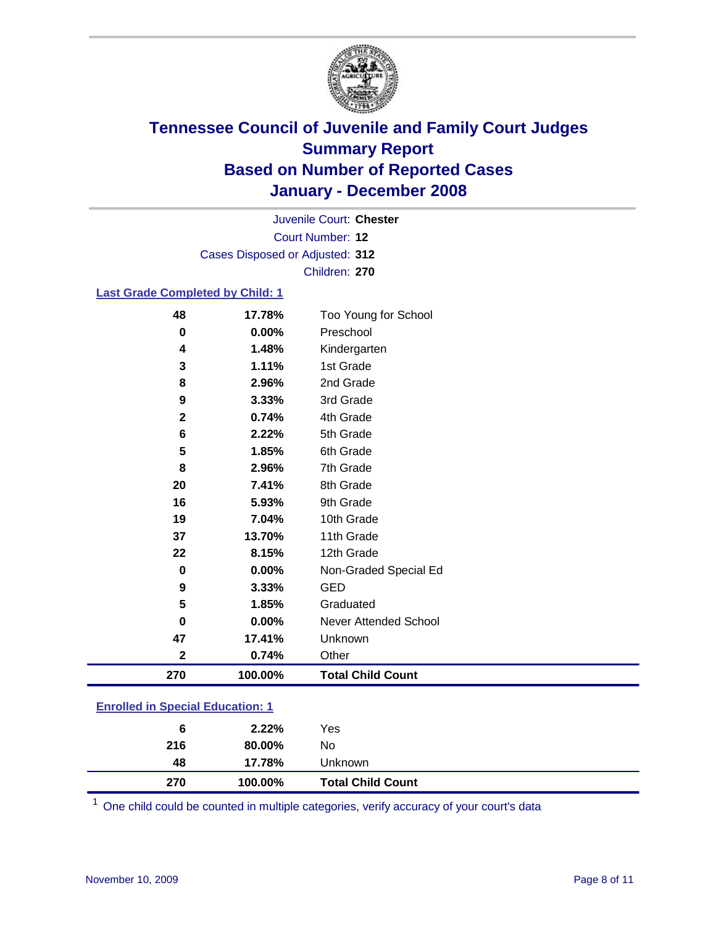

Court Number: **12** Juvenile Court: **Chester** Cases Disposed or Adjusted: **312** Children: **270**

### **Last Grade Completed by Child: 1**

| 48               | 17.78%  | Too Young for School     |
|------------------|---------|--------------------------|
| 0                | 0.00%   | Preschool                |
| 4                | 1.48%   | Kindergarten             |
| 3                | 1.11%   | 1st Grade                |
| 8                | 2.96%   | 2nd Grade                |
| 9                | 3.33%   | 3rd Grade                |
| $\mathbf 2$      | 0.74%   | 4th Grade                |
| 6                | 2.22%   | 5th Grade                |
| 5                | 1.85%   | 6th Grade                |
| 8                | 2.96%   | 7th Grade                |
| 20               | 7.41%   | 8th Grade                |
| 16               | 5.93%   | 9th Grade                |
| 19               | 7.04%   | 10th Grade               |
| 37               | 13.70%  | 11th Grade               |
| 22               | 8.15%   | 12th Grade               |
| 0                | 0.00%   | Non-Graded Special Ed    |
| $\boldsymbol{9}$ | 3.33%   | <b>GED</b>               |
| 5                | 1.85%   | Graduated                |
| 0                | 0.00%   | Never Attended School    |
| 47               | 17.41%  | Unknown                  |
| $\mathbf 2$      | 0.74%   | Other                    |
| 270              | 100.00% | <b>Total Child Count</b> |

### **Enrolled in Special Education: 1**

<sup>1</sup> One child could be counted in multiple categories, verify accuracy of your court's data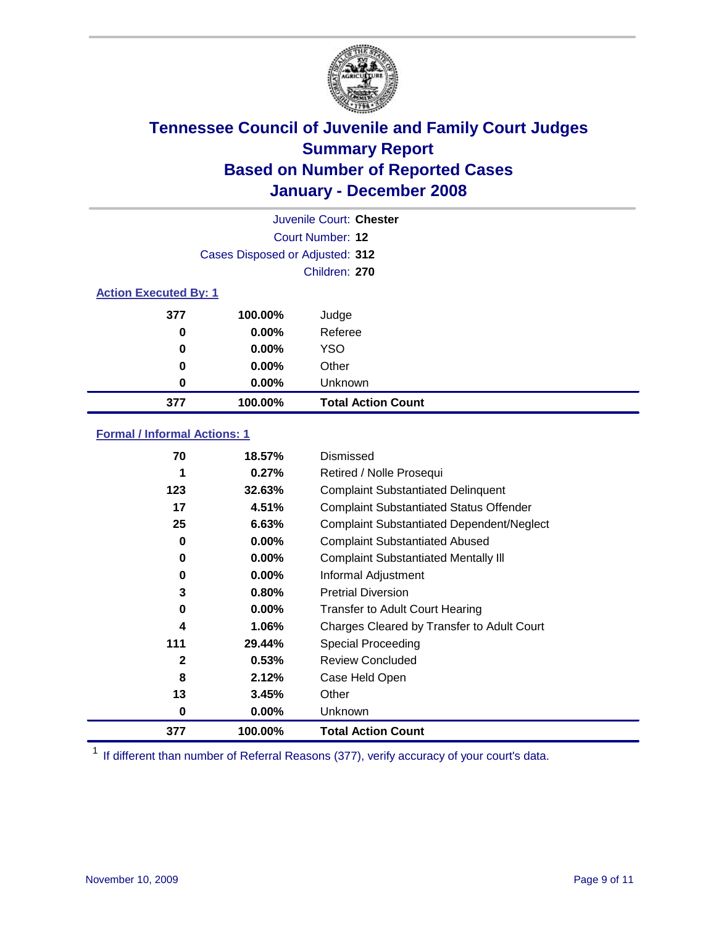

|                              |                                 | Juvenile Court: Chester   |  |
|------------------------------|---------------------------------|---------------------------|--|
|                              |                                 | Court Number: 12          |  |
|                              | Cases Disposed or Adjusted: 312 |                           |  |
|                              |                                 | Children: 270             |  |
| <b>Action Executed By: 1</b> |                                 |                           |  |
| 377                          | 100.00%                         | Judge                     |  |
| 0                            | $0.00\%$                        | Referee                   |  |
| 0                            | $0.00\%$                        | <b>YSO</b>                |  |
| 0                            | $0.00\%$                        | Other                     |  |
| 0                            | $0.00\%$                        | Unknown                   |  |
| 377                          | 100.00%                         | <b>Total Action Count</b> |  |

### **Formal / Informal Actions: 1**

| 70           | 18.57%   | Dismissed                                        |
|--------------|----------|--------------------------------------------------|
| 1            | 0.27%    | Retired / Nolle Prosequi                         |
| 123          | 32.63%   | <b>Complaint Substantiated Delinquent</b>        |
| 17           | 4.51%    | <b>Complaint Substantiated Status Offender</b>   |
| 25           | 6.63%    | <b>Complaint Substantiated Dependent/Neglect</b> |
| 0            | $0.00\%$ | <b>Complaint Substantiated Abused</b>            |
| 0            | $0.00\%$ | <b>Complaint Substantiated Mentally III</b>      |
| 0            | $0.00\%$ | Informal Adjustment                              |
| 3            | 0.80%    | <b>Pretrial Diversion</b>                        |
| 0            | $0.00\%$ | <b>Transfer to Adult Court Hearing</b>           |
| 4            | 1.06%    | Charges Cleared by Transfer to Adult Court       |
| 111          | 29.44%   | Special Proceeding                               |
| $\mathbf{2}$ | 0.53%    | <b>Review Concluded</b>                          |
| 8            | 2.12%    | Case Held Open                                   |
| 13           | 3.45%    | Other                                            |
| 0            | $0.00\%$ | <b>Unknown</b>                                   |
| 377          | 100.00%  | <b>Total Action Count</b>                        |

<sup>1</sup> If different than number of Referral Reasons (377), verify accuracy of your court's data.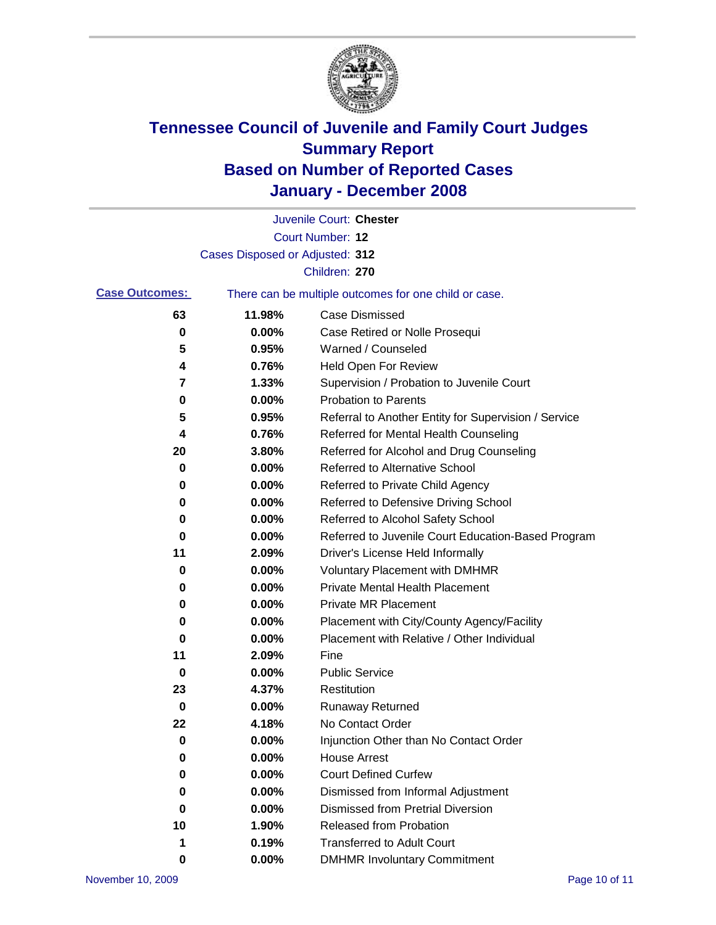

|                       |                                 | Juvenile Court: Chester                               |
|-----------------------|---------------------------------|-------------------------------------------------------|
|                       |                                 | Court Number: 12                                      |
|                       | Cases Disposed or Adjusted: 312 |                                                       |
|                       |                                 | Children: 270                                         |
| <b>Case Outcomes:</b> |                                 | There can be multiple outcomes for one child or case. |
| 63                    | 11.98%                          | <b>Case Dismissed</b>                                 |
| 0                     | 0.00%                           | Case Retired or Nolle Prosequi                        |
| 5                     | 0.95%                           | Warned / Counseled                                    |
| 4                     | 0.76%                           | <b>Held Open For Review</b>                           |
| 7                     | 1.33%                           | Supervision / Probation to Juvenile Court             |
| 0                     | 0.00%                           | <b>Probation to Parents</b>                           |
| 5                     | 0.95%                           | Referral to Another Entity for Supervision / Service  |
| 4                     | 0.76%                           | Referred for Mental Health Counseling                 |
| 20                    | 3.80%                           | Referred for Alcohol and Drug Counseling              |
| 0                     | 0.00%                           | Referred to Alternative School                        |
| 0                     | 0.00%                           | Referred to Private Child Agency                      |
| 0                     | 0.00%                           | Referred to Defensive Driving School                  |
| 0                     | 0.00%                           | Referred to Alcohol Safety School                     |
| 0                     | 0.00%                           | Referred to Juvenile Court Education-Based Program    |
| 11                    | 2.09%                           | Driver's License Held Informally                      |
| 0                     | 0.00%                           | <b>Voluntary Placement with DMHMR</b>                 |
| 0                     | 0.00%                           | <b>Private Mental Health Placement</b>                |
| 0                     | 0.00%                           | <b>Private MR Placement</b>                           |
| 0                     | 0.00%                           | Placement with City/County Agency/Facility            |
| 0                     | 0.00%                           | Placement with Relative / Other Individual            |
| 11                    | 2.09%                           | Fine                                                  |
| 0                     | 0.00%                           | <b>Public Service</b>                                 |
| 23                    | 4.37%                           | Restitution                                           |
| 0                     | 0.00%                           | <b>Runaway Returned</b>                               |
| 22                    | 4.18%                           | No Contact Order                                      |
| 0                     | 0.00%                           | Injunction Other than No Contact Order                |
| 0                     | 0.00%                           | <b>House Arrest</b>                                   |
| 0                     | 0.00%                           | <b>Court Defined Curfew</b>                           |
| 0                     | 0.00%                           | Dismissed from Informal Adjustment                    |
| 0                     | 0.00%                           | <b>Dismissed from Pretrial Diversion</b>              |
| 10                    | 1.90%                           | <b>Released from Probation</b>                        |
| 1                     | 0.19%                           | <b>Transferred to Adult Court</b>                     |
| 0                     | 0.00%                           | <b>DMHMR Involuntary Commitment</b>                   |